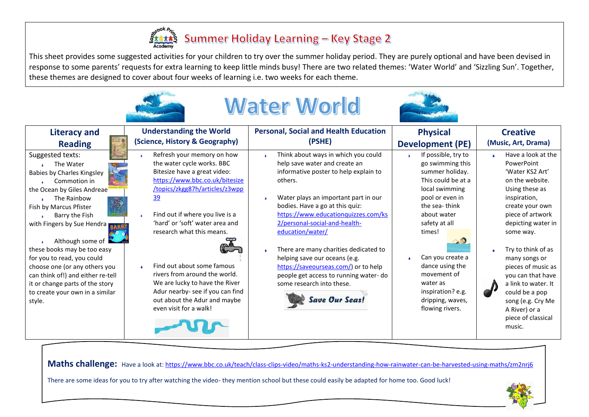

This sheet provides some suggested activities for your children to try over the summer holiday period. They are purely optional and have been devised in response to some parents' requests for extra learning to keep little minds busy! There are two related themes: 'Water World' and 'Sizzling Sun'. Together, these themes are designed to cover about four weeks of learning i.e. two weeks for each theme.

|                                                                                                                                                                                                                                                                                                                                                                                                                                                                  | <b>Water World</b>                                                                                                                                                                                                                                                                                                                                                                                                                                                                                     |                                                                                                                                                                                                                                                                                                                                                                                                                                                                                                                     |                                                                                                                                                                                                                                                                                                                                           |                                                                                                                                                                                                                                                                                                                                                                                                            |  |  |  |  |  |  |  |
|------------------------------------------------------------------------------------------------------------------------------------------------------------------------------------------------------------------------------------------------------------------------------------------------------------------------------------------------------------------------------------------------------------------------------------------------------------------|--------------------------------------------------------------------------------------------------------------------------------------------------------------------------------------------------------------------------------------------------------------------------------------------------------------------------------------------------------------------------------------------------------------------------------------------------------------------------------------------------------|---------------------------------------------------------------------------------------------------------------------------------------------------------------------------------------------------------------------------------------------------------------------------------------------------------------------------------------------------------------------------------------------------------------------------------------------------------------------------------------------------------------------|-------------------------------------------------------------------------------------------------------------------------------------------------------------------------------------------------------------------------------------------------------------------------------------------------------------------------------------------|------------------------------------------------------------------------------------------------------------------------------------------------------------------------------------------------------------------------------------------------------------------------------------------------------------------------------------------------------------------------------------------------------------|--|--|--|--|--|--|--|
| <b>Literacy and</b>                                                                                                                                                                                                                                                                                                                                                                                                                                              | <b>Understanding the World</b>                                                                                                                                                                                                                                                                                                                                                                                                                                                                         | <b>Personal, Social and Health Education</b>                                                                                                                                                                                                                                                                                                                                                                                                                                                                        | <b>Physical</b>                                                                                                                                                                                                                                                                                                                           | <b>Creative</b>                                                                                                                                                                                                                                                                                                                                                                                            |  |  |  |  |  |  |  |
| <b>Reading</b><br>Suggested texts:<br>The Water<br>Babies by Charles Kingsley<br>Commotion in<br>the Ocean by Giles Andreae<br>The Rainbow<br>Fish by Marcus Pfister<br>Barry the Fish<br>with Fingers by Sue Hendra RARR<br>Although some of<br>these books may be too easy<br>for you to read, you could<br>choose one (or any others you<br>can think of!) and either re-tell<br>it or change parts of the story<br>to create your own in a similar<br>style. | (Science, History & Geography)<br>Refresh your memory on how<br>the water cycle works. BBC<br>Bitesize have a great video:<br>https://www.bbc.co.uk/bitesize<br>/topics/zkgg87h/articles/z3wpp<br>39<br>Find out if where you live is a<br>'hard' or 'soft' water area and<br>research what this means.<br>Find out about some famous<br>rivers from around the world.<br>We are lucky to have the River<br>Adur nearby- see if you can find<br>out about the Adur and maybe<br>even visit for a walk! | (PSHE)<br>Think about ways in which you could<br>help save water and create an<br>informative poster to help explain to<br>others.<br>Water plays an important part in our<br>bodies. Have a go at this quiz:<br>https://www.educationguizzes.com/ks<br>2/personal-social-and-health-<br>education/water/<br>There are many charities dedicated to<br>helping save our oceans (e.g.<br>https://saveourseas.com/) or to help<br>people get access to running water-do<br>some research into these.<br>Save Our Seas! | <b>Development (PE)</b><br>If possible, try to<br>go swimming this<br>summer holiday.<br>This could be at a<br>local swimming<br>pool or even in<br>the sea-think<br>about water<br>safety at all<br>times!<br>Can you create a<br>dance using the<br>movement of<br>water as<br>inspiration? e.g.<br>dripping, waves,<br>flowing rivers. | (Music, Art, Drama)<br>Have a look at the<br>PowerPoint<br>'Water KS2 Art'<br>on the website.<br>Using these as<br>inspiration,<br>create your own<br>piece of artwork<br>depicting water in<br>some way.<br>Try to think of as<br>many songs or<br>pieces of music as<br>you can that have<br>a link to water. It<br>could be a pop<br>song (e.g. Cry Me<br>A River) or a<br>piece of classical<br>music. |  |  |  |  |  |  |  |

Maths challenge: Have a look at[: https://www.bbc.co.uk/teach/class-clips-video/maths-ks2-understanding-how-rainwater-can-be-harvested-using-maths/zm2nrj6](https://www.bbc.co.uk/teach/class-clips-video/maths-ks2-understanding-how-rainwater-can-be-harvested-using-maths/zm2nrj6)

There are some ideas for you to try after watching the video- they mention school but these could easily be adapted for home too. Good luck!